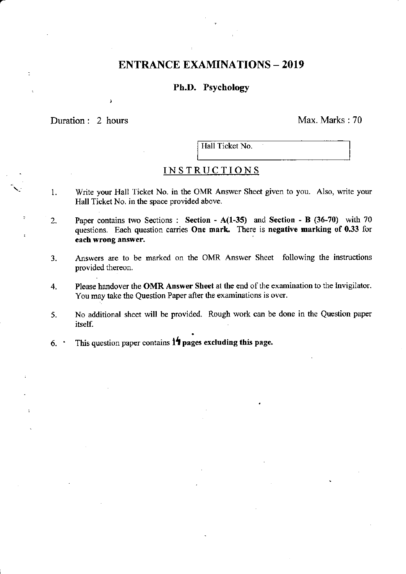# ENTRANCE EXAMINATIONS - 2019

## Ph.D. Psychology

Duration: 2 hours Max. Marks : 70

J

Hall Ticket No.

# INSTRUCTIONS

- 1. Write your Hall Ticket No. in the OMR Answer Sheet given to you. Also, write your Hall Ticket No. in the space provided above.
- 2. Paper contains two Sections : Section  $A(1-35)$  and Section B (36-70) with 70 questions. Each question carries One mark. There is negative marking of 0.33 for each wrong answer.
- 3. Answers are to be marked on the OMR Answer Sheet following the instructions provided thereon.
- 4. Please handover the OMR Answer Sheet at the end of the examination to the Invigilator. You may take the Question Paper after the examinations is over.
- 5. No additional sheet will be provided. Rough work can be done in the Question paper itself.
- 6. This question paper contains  $1\frac{1}{2}$  pages excluding this page.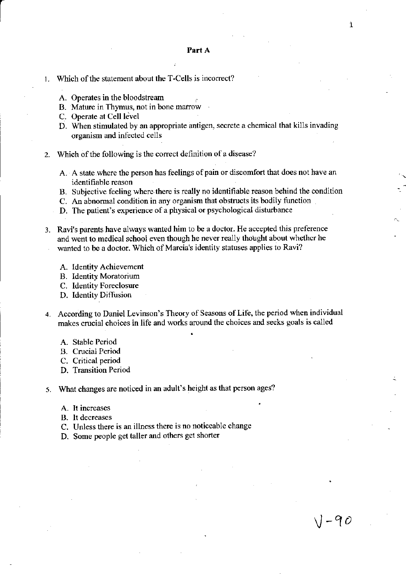#### 1. Which of the statement about the T-Cells is incorrect?

- A. Operates in the bloodstream
- B. Mature in Thymus, not in bone marow
- C. Operate at Cell level
- D. When stimulated by an appropriate antigen, secrete a chemical that kills invading organism and infected cells
- z. Which of the following is the correct definition of a disease?
	- A. A state where the person has feelings of pain or discomfort that does not have an identifiable reason
	- B. Subjective feeling where there is really no identifiable reason behind the condition
	- C. An abnormal condition in any organism that obstructs its bodily function
	- D. The patient's experience of a physical or psychological disturbance
- 3. Ravi's parents have always wanted him to be a doctor. He accepted this preference and went to medical school even though he never really thought about whether he wanted to be a doctor. Which of Marcia's identity statuses applies to Ravi?
	- A. Identity Achievement
	- B. Identity Moratorium
	- C. ldentity Forcclosure
	- D. Identity Diftusion
- 4. According to Daniel Levinson's Theory of Seasons of Life, the period when individual makes crucial choices in life and works around the choices and seeks goals is called

 $J$  -90

 $\mathbf 1$ 

- A. Stable Period
- R. Crucial Period
- C. Critical period
- D. Transition Period

5. What changes are noticed in an adult's height as that person ages?

- A. It incrcases
- B. It decreases
- C. Unless there is an ilhess there is no noticeable change
- D. Some people get taller and others get shorter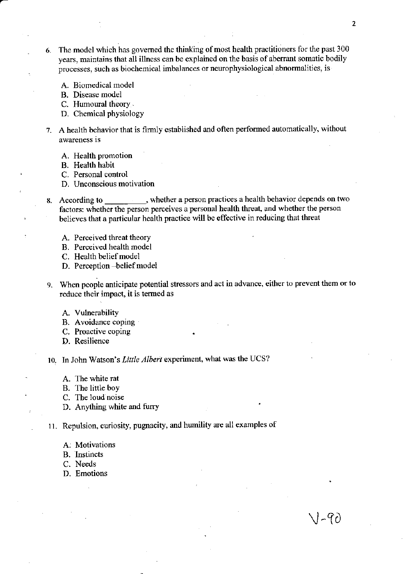- 6. The model which has governed the thinking of most health practitioners for the past 300 years, maintains that all illness can be explained on the basis of aberrant somatic bodily processes, such as biochemical imbalances or neurophysiological abnormalities, is
	- A. Biomedical model
	- B. Disease model
	- C. Humoural theory
	- D. Chemical physiology
- 7. A health behavior that is firmly established and often performed automatically, without awareness is
	- A. Health promotion
	- B. Health habit
	- C. Personal control
	- D. Unconscious motivation
- 8. According to , whether a person practices a health behavior depends on two factors: whether the person perceives a personal health threat, and whether the person believes that a particular health practice will be effective in reducing that threat
	- A. Perceived threat theory
	- B. Perceived health model
	- C. Health belief model
	- D. Perception -belief model
- 9. When people anticipate potential stressors and act in advance, either to prevent them or to reduce their impact, it is termed as
	- A. Vulnerability
	- B. Avoidance coping
	- C. Proactive coping
	- D. Resilience

10. In John Watson's Little Albert experiment, what was the UCS?

- A. The white rat
- B. The little boy
- C. The loud noise
- D. Anything white and furry
- 11. Repulsion, curiosity, pugnacity, and humility are all examples of
	- A. Motivations
	- B. Instincts
	- C. Needs
	- D. Emotions

\l-?D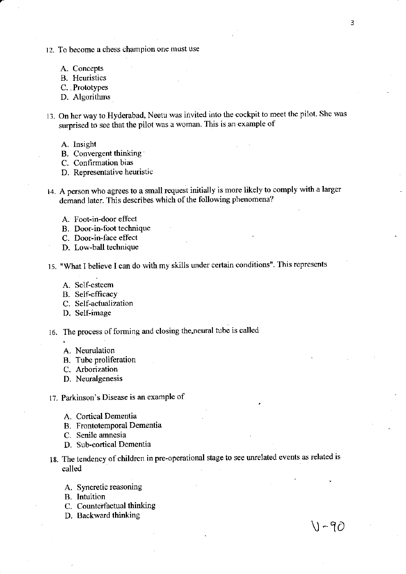- 12. To become a chess champion one must dse
	- A. Concepts
	- B. Heuristics
	- C. Prototypes
	- D. Algorithms
- 13. On her way to Hyderabad, Neetu was invited into the cockpit to meet the pilot. She was surprised to see that the pilot was a woman. This is an example of
	- A. Insight
	- B. Convergent thinking
	- C. Confirmation bias
	- D. Representative heuristic
- 14. A person who agrees to a small rcquest initially is more likely to comply with a larger demand later. This describes which of the following phenomena?
	- A. Foot-in-door effect
	- B. Door-in-foot technique
	- C. Door-in-face effect
	- D. Low-ball technique
- 15. "What I believe I can do with my skills under certain conditions". This represents
	- A. Self-esteem
	- B. Self-efficacy
	- C. Self-actualization
	- D. Self-image
- 16. The process of forming and closing the neural tube is called
	- A. Neurulation
	- B. Tube proliferation
	- C. Arborization
	- D. Newalgenesis
- l?. Parkinson's Disease is an example of
	- A. Cortical Dementia
	- B. Frontotemporal Dementia
	- C. Senile amncsia
	- D. Sub-cortical Dementia
- 18. The tendency of children in pre-operational stage to see unrelated events as related is called
	- A. Syncretic reasoning
	- B. Intuition
	- C. Counterfactual thinking
	- D. Backward thinking  $\bigvee \mathcal{C}$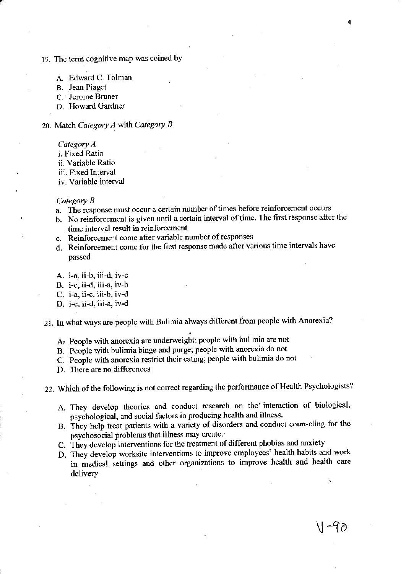# 19. The term cognitive map was coined by

- A. Edward C. Tolman
- B. Jean Piaget
- c. Jerome Bruner
- D. Howard Gardner

20. Match Category  $A$  with Category  $B$ 

Category A

i. Fixed Ratio

ii. Variable Ratio

iii. Fixed Interval

iv. Variable interval

#### Category B

- a. The response must occur a certain number of times before reinforcement occurs
- b. No reinforcement is given until a certain interval of time. The first response after the time interval result in reinforcement
- c. Reinforcement come after variable number of responses
- d. Reinfotcement come for the frst responsc made alier various time intervals have passed
- A. i-a, ii-b, jii-d, iv-c

B. i-c, ii-d, iii-a, iv-b

C. i-a, ii-c, iii-b, iv-d

D. i-c, ii-d, iii-a, iv-d

21. In what ways are people with Bulimia always different from people with Anorexia?

- A: People with anorexia are underweight; people with bulimia are not
- B. People with bulimia binge and purge; people with anorexia do not
- C. People with anorexia restrict their eating; people with bulimia do not
- D. There are no differences

22. Which of the following is not correct regarding the performance of Health Psychologists?

- A. They develop theories and conduct research on the interaction of biological, psychological, and social factors in producing health and illness.
- B. They help treat patients with a variety of disorders and conduct counseling for the psychosocial problems that illness may create.
- C, They develop interventions for the treatment of different phobias and anxiety
- D. They develop worksite interventions to improve employees' health habits and work in medical settings and other organizations to improve health and health care delivery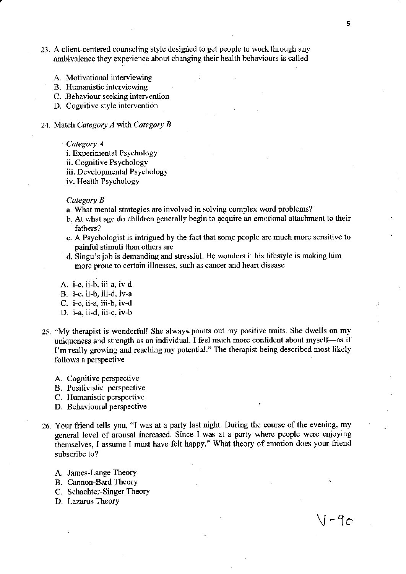- 23. A client-centered counseling style designed to get people to work through any ambivalence they experience about changing their health bchaviours is called
	- A. Motivational interviewing
	- B. Humanistic interviewing
	- C. Behaviour seeking intervention
	- D. Cognitive style intervention
- 24. Match Category  $A$  with Category  $B$ 
	- Category A
	- i. Experimental Psychology
	- ii. Cognitive Psychology
	- iii. Developmental Psychology
	- iv. Health Psychology

#### Category  $B$

- a. What mental strategies are involved in solving complex word problems?
- b. At what age do children generally begin to acquire an emotional attachment to their fathers?
- c. A Psychologist is intrigued by the fact that some people ate much morc sensilive to painful stimuli than others are
- d. Singu's job is demanding and stressful. He wonders if his lifestyle is making him more prone to certain illnesses, such as cancer and heart disease
- A. i-c, ii-b, iii-a, iv-d
- B. i-c, ii-b, iii-d, iv-a
- C. i-c, ii-a, iii-b, ir-d
- D. i-a, ii-d, iii-c, iv-b
- 25. "My therapist is wonderful! She always points out my positive traits. She dwells on my uniqueness and strength as an individual. I feel much more confident about myself-as if I'm really growing and reaching my potcntial." The therapist being described most likely follows a perspective
	- A. Cognitive perspective
	- B. Positivistic penpective
	- C. Humanistic perspective
	- D. Behavioural perspective
- 26. Your friend tells you, "I was at a party last night. During the course of the evening, my general level of arousal increased. Since I was at a party where people were enjoying themselves, I assume I must have felt happy." What theory of emotion does your friend subscribe to?
	- A. James-Lange Theory
	- B. Cannon-Bard Theory
	- C. Schachter-Singer Theory
	- D. Lazarus Theory

 $J$  - 9 $c$ 

Ą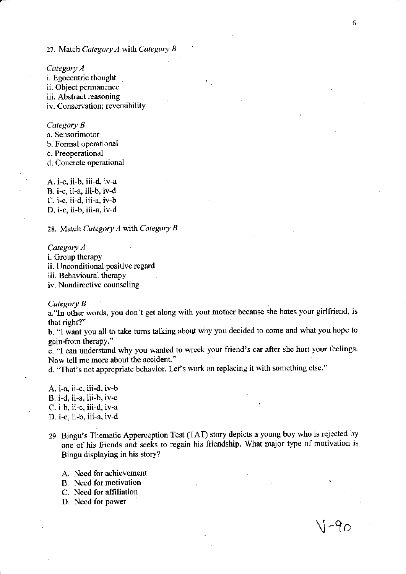#### 27. Match Category  $A$  with Category  $B$

Category A i. Egocentric thought ii. Object permanence iii. Abstract reasoning iv. Conservation; reversibility

#### Category B

a. Sensorimotor

b. Formal operational

c. Prcoperational

d. Concrete operational

A. i-c, ii-b, iii-d, iv-a B. i-c, ii-a, iii-b, iv-d C. i-c, ii-d, iii-a, iv-b D. i-c, ii-b, iii-a, iv-d

28. Match Category A with Category B

#### Category A i. Group therapy ii. Unconditional positive regard iii. Behavioural therapy iv. Nondirective counseling

Category B

a."In other words, you don't get along with your molher because she hates your girlfriend, is that right?"

b. "l want you all to take tums talking about why you decided to come and what you hope to gain.from therapy."

c. "I can understand why you wanted to wreck your friend's car after she hurt your feelings. Now tell me morc about the accident."

d. "That's not appropriate behavior. Let's work on replacing it with something else."

A.  $i-a$ , ii-c, iii-d,  $iv-b$ B. i-d, ii-a, iii.b, iv-c . C. i-b, ii.c, iii-d, iv-a D. i-c, ii-b, iii-a, iv-d

29. Bingu's Thematic Apperception Test (TAT) story depicts a young boy who is rejected by one of his friends and seeks to regain his friendship. What major type of motivation is Bingu displaying in his story?

A. Need for achievement

- B. Need for motivation
- C. Need for affiliation
- D. Need for power

 $V - 9c$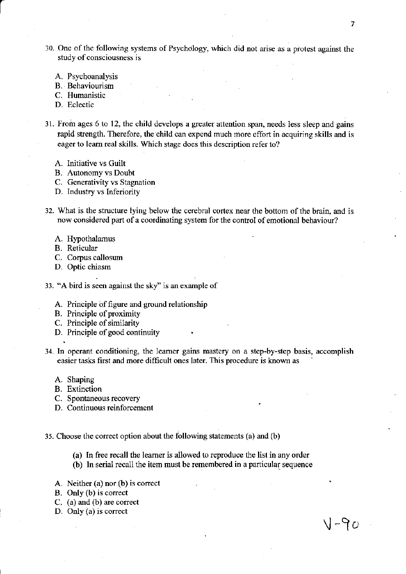- 10. One of the lbllowing systems of Psychdlogy, which did not arise as a protcst against the study of consciousness is
	- A. Psychoanalysis
	- B. Behaviourism
	- C. Humanistic
	- D. Eclectic
- 31. From ages 6 to 12, the child develops a greater attention span, needs less sleep and gains rapid sftength. Therefore, the child can expend much more effort in acquiring skills and is eager to leam real skills. Which stage does this description refer to?
	- A. Initiative vs Guilt
	- B. Autonomy vs Doubt
	- C. Generativity vs Stagnation
	- D. Industry vs Inferiority
- 32. What is the structure lying below the cerebral cortex near the bottom of the brain, and is now considered part of a coordinating system for the control of emotional behaviour?
	- A. Hypothalamus
	- B. Reticular
	- C. Corpus callosum
	- D. Optic chiasm

33. "A bird is seen against the sky'' is an example of

- A. Principle of figure and ground relationship
- B. Principle of proximity
- C. Principle of similarity
- D. Principle of good continuity
- 34. In operant conditioning, the leamer gains mastery on a step-by-step basis, accomplish easier tasks first and more difficult ones later. This procedure is known as
	- A. Shaping
	- B. Extinction
	- C. Spontaneous recovery
	- D. Continuous reinforcement
- 35. Choose the conect option about the following statements (a) and (b)
	- (a) In free recall the leamer is allowed to reproduce the list in any order
	- (b) In serial recall the item must be remembered in a particular sequence
	- A. Neither  $(a)$  nor  $(b)$  is correct
	- B. Only (b) is correct
	- C. (a) and (b) are correct
	- D. Only (a) is correct

rJ-to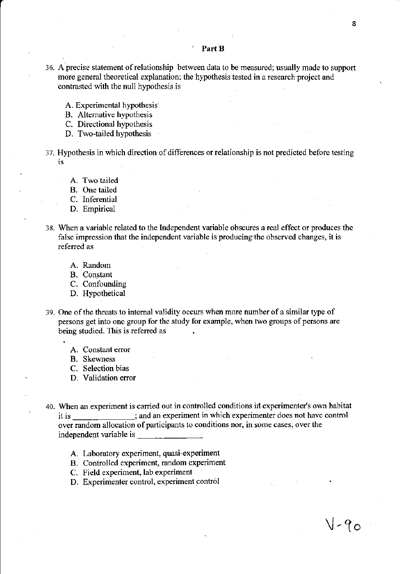- 36. Aprecise statement ofrelationship between data to be measurcd; usually made to support more general theoretical explanation; the hypothesis tested in a research project and contrasted with the null hypothesis is
	- A. Expcrimental hypothesis
	- B. Altemative hypothesis
	- C. Directional hypothesis
	- D. Two-tailed hypothesis
- 37. Hypothesis in which direction of differences or relationship is not predicted before testing is
	- A. Two tailed
	- B. One tailed
	- C. Inferential
	- D. Empirical
- 38. When a variable related to the Independent variable obscures a real effect or produces the false impression that the independent variable is producing the observed changes, it is refened as
	- A. Random
	- B. Constant
	- C. Corfounding
	- D. Hypothetical
- 39. One of the threats to internal validity occurs when more number of a similar type of persons get into one group for the study for example, when two groups of persons are being studied. This is referred as
	- A. Constant error
	- B. Skewness
	- C. Selection bias
	- D. Validation error
- 40. When an experiment is carried out in controlled conditions in experimenter's own habitat it is \_; and an experiment in which experimenter does not have control over random allocation of participants to conditions nor, in some cases, over the independent variable is \_
	- A. Laboratory experiment, quasi-experiment
	- B. Controlled experiment, random experiment
	- C. Field experiment, lab experiment
	- D. Experimenter control, experiment contol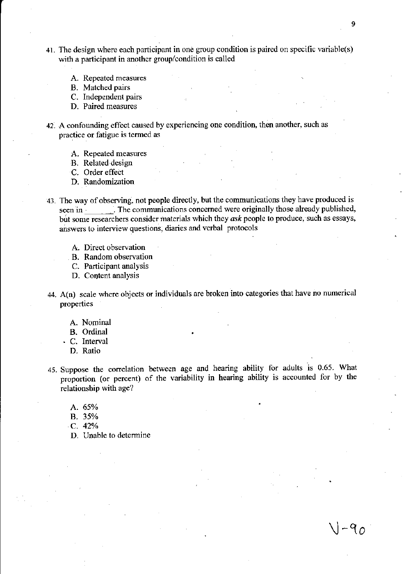- 41. The design where each participant in one group condition is paired on specific variable(s) with a participant in anothcr group/condition is called
	- A. Repeated measures
	- B. Matched pairs
	- C. Independent pairs
	- D. Paired measurcs
- 42. A confounding effect caused by experiencing one condition, then another, such as practice or fatigue is termed as
	- A. Repeated measures
	- B. Related design
	- C. Order effect
	- D. Randomization
- 43. The way of observing, not people directly, but the communications they have produced is seen in . The communications concerned were originally those already published, but some researchers consider materials which they ask people to produce, such as essays, answers to interview questions, diaries and verbal protocols
	- A. Direct observation
	- B. Random observation
	- C. Participant analysis
	- D. Content analysis
- 44.  $A(n)$  scale where objects or individuals are broken into categories that have no numerical properties
	- A. Nominal
	- B. Ordinal
	- . C. Interval
		- D. Ratio
- 45. Suppose the correlation between age and hearing ability for adults is 0.65. What proportion (or percent) of the variability in hearing ability is accounted for by the relationship with age?
	- A. 65%
	- B. 35%
	- c. 42%
	- D. Unable to determine

 $-9$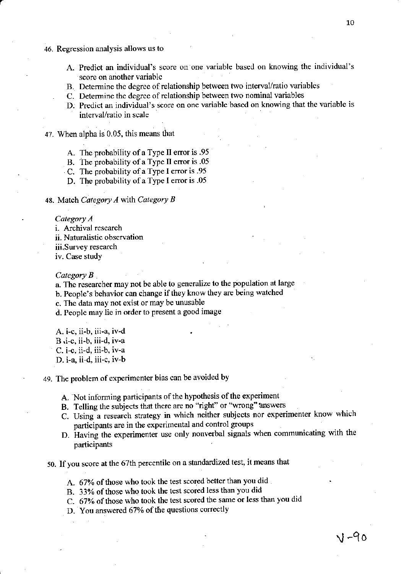- 46. Regression analysis allows us to
	- A. Predict an individual's score on one variable bascd on knowing the individual's score on another variable
	- B. Detemine the degree of relationship between two interval/ratio variablcs
	- C. Determine the degree of relationship between two nominal variables
	- D. Predict an individual's score on one variable based on knowing that the variable is interval/ratio in scale

47. When alpha is 0.05, this means that

- A. The probability of a Type II error is .95
- B. The probability of a Type II error is .05
- C. The probability of a Type I error is .95
- D. The probability of a Type I error is  $.05$

48. Match Category  $A$  with Category  $B$ 

Category A

i. Archival research

ii. Naturalistic observation

iii.Survey research

iv. Case study

Category **B** 

a. The researcher may not be able to generalize to the population at large

b. People's behavior can change if they know they are being watched

c. The data may not exist or may be unusable

d. People may lie in order to present a good image

A. i-c, ii-b, iii-a, iv-d B .i-c, ii-b, iii-d, iv-a C. i-c, ii-d, iii-b, iv-a D. i-a, ii-d, iii-c. iv-b

49. The problem of experimenter bias can be avoided by

- A. Not informing participants of the hypothesis of the experiment
- B. Telling the subjects that there are no "right" or "wrong" answers
- C. Using a research strategy in which neither subjects nor experimenter know which neiticipants are in the experimental and control groups participants are in the experimental and control groups
- D. Having the experimenter use only nonverbal signals when communicating with the participants
- 50. lf you score at the 67th percentile on a standardized test, it means that

A. 67% of those who took the test scored better than you did.

B. 33% of those who took the test scored less than you did

C. 67% of those who took the test scored the same or less than you did

D. You answered 67% of the questions correctly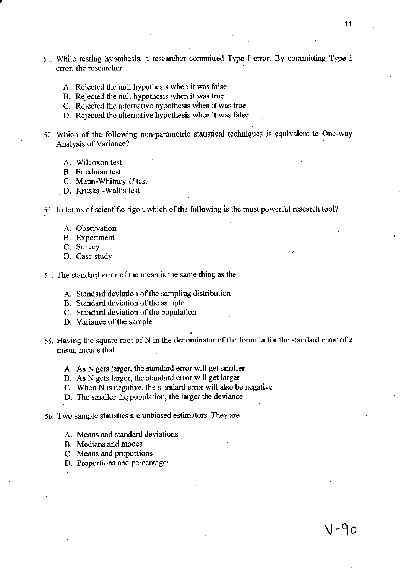- 51. While testing hypothesis, a researcher committed Type I error. By committing Type I error, the researcher
	- A. Rejected the null hypothesis when it was false
	- B, Rejected the null hypothesis when it was true
	- C. Rejected the alternative hypothesis when it was true
	- D. Rejected thc altemative hypothesis when it was false
- 52. Which of the following non-parametric statistical techniques is equivalent to One-way Analysis of Variance?
	- A. Wilcoxon test
	- B. Friedman test
	- C. Mann-Whitney U test
	- D. Kruskal-Wallis test

#### 53. In terms of scientific rigor, which of the following is the most powerful research tool?

- A. Observation
- B. Experiment
- C. Survey
- D. Case study
- 54. The standard error of the mean is the same thing as the
	- A. Standard deviation of the sampling distribution
	- B. Standard deviation of the sample
	- C. Standard deviation of the population
	- D. Variance of the sample
- 55. Having the square root of N in the denominator of the formula for the standard error of a mean, means that
	- A. As N gets laxger, the standard error will get smaller
	- B. As N gets larger, the standard error will get larger
	- C. When N is negative, the standard error will also be negative
	- D. The smaller the population, the larger the deviance
- 56. Two sample statistics are unbiased estimators. They are
	- A. Means and standard deviations
	- B. Medians and modes
	- C. Means and proportions
	- D. Proportions and percentages

 $V - 90$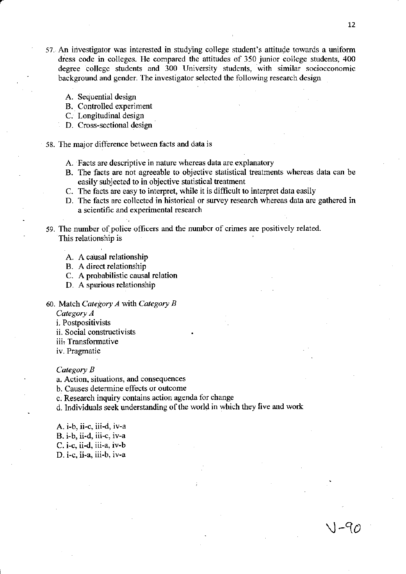$V-90$ 

- 57. An investigator was interested in studying college student's aftitude towards a uniform dress code in colleges. He compared the attitudes of 350 junior collegc students, 400 degree college students and 300 University students, with similar socioeconomic background and gender. The investigator selected the following research design
	- A. Sequential design
	- B. Controlled experiment
	- C. Longitudinal design
	- D. Cross-sectional design
- st. The major difference between facts and data is
	- A. Facts are descriptive in nature whereas data are explanatory
	- B. The facts are not agreeable to objective statistical treatments whereas data can be easily subjected to in objective statistical treatment
	- C. The facts are easy to interpret, while it is difficult to interpret data easily
	- D. The facts arc collected in historical or survey research whereas data are gathered in a scientific and experimental research
- 59. The number of police oflicers and the numbcr of crimes are positively related. This relationship is
	- A. A causal relationship
	- B. A direct relationship
	- C. A probabilistic causal relation
	- D. A spurious relationship
- 60. Match Category A with Category B

Category A

i. Postpositivists

- ii. Social constructivists
- iii: Transformative
- iv. Pragmatic

#### Category B

.

a. Action, situations, and consequences

b. Causes determine effects or outcome

c. Reseatch inquiry contains action agenda for change

d. Individuals seek understanding of the world in which they five and work

A. i-b, ii-c, iii-d, iv-a

B. i-b, ii-d, iii-c, iv-a

C. i-c, ii-d, iii-a, iv-b

D. i-c, ii-a, iii-b, iv-a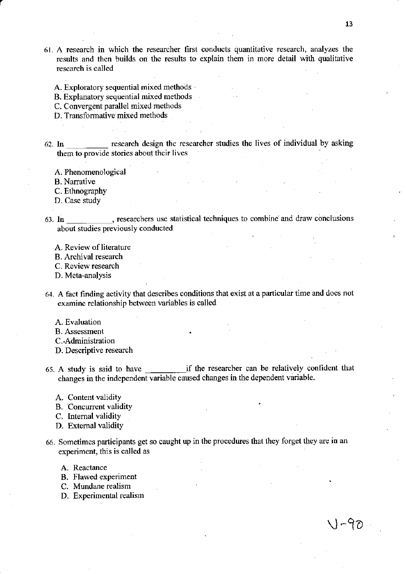- 61. A research in which the researcher fiist conducts quantitative research, analyzes the results and then builds on the results to explain them in more detail with qualitative rescarch is called
	- A. Exploratory sequential mixed methods
	- B. Explanatory sequential mixed methods
	- C. Convergent parallel mixed methods
	- D. Transformative mixed methods
- 62. In  $\frac{1}{\sqrt{1-\frac{1}{\sqrt{1-\frac{1}{\sqrt{1-\frac{1}{\sqrt{1-\frac{1}{\sqrt{1-\frac{1}{\sqrt{1-\frac{1}{\sqrt{1-\frac{1}{\sqrt{1-\frac{1}{\sqrt{1-\frac{1}{\sqrt{1-\frac{1}{\sqrt{1-\frac{1}{\sqrt{1-\frac{1}{\sqrt{1-\frac{1}{\sqrt{1-\frac{1}{\sqrt{1-\frac{1}{\sqrt{1-\frac{1}{\sqrt{1-\frac{1}{\sqrt{1-\frac{1}{\sqrt{1-\frac{1}{\sqrt{1-\frac{1}{\sqrt{1-\frac{1}{\sqrt{1-\frac{1}{\sqrt{1-\frac{1}{\$ them to provide stories about their lives
	- A. Phenomenological
	- B. Narrative
	- C. Fthnography

 $\mathcal{L}_{\rm{eff}}$ 

- D. Case study
- 63. In \_\_\_\_\_\_\_\_\_\_\_, researchers use statistical techniques to combine and draw conclusions about studies previously conducted
	- A. Review of literatue
	- B. Archival research
	- -, C. Review research
	- D. Meta-analysis
- 64. A fact finding activity that describes conditions that exist at a particular time and docs not examine relationship between variables is called
	- A. Eraluation
	- B. Assessment
	- C.-Administration
	- D. Descriptive research
- 65. A study is said to have if the researcher can be relatively confident that changes in the independent variable caused changes in the dependent variable-
	- A. Content validity
	- B. Concurent validity
	- C. Intemal validity
	- D. Extemal validity
- 66. Sometimes participants get so caught up in the procedues that they forget they are in an experiment. this is called as
	- A. Reactance
	- B. Flawed experiment
	- C. Mundane realism
	- D. Experimental realism

V-90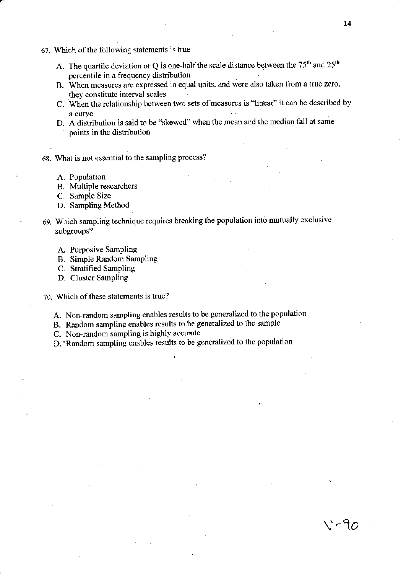- 67. Which of the following statements is true
	- A. The quartile deviation or Q is one-half the scale distance between the  $75<sup>th</sup>$  and  $25<sup>th</sup>$ percentile in a frequency distribution
	- B. When measues are expressed in equal units, and were also taken from a true zero, they constitute interval scales
	- C. When the relationship between two sets of measures is "linear" it can be described by a curve
	- D. A distribution is said to be "skewcd" when the mean and the median fall at same points in the distribution
- 68. \Vhat is not essential to the sampling process?
	- A. Population
	- B. Multiple researchers
	- C. Sample Size
	- D. Sampling Method
- ' 69. Wlich sampling technique requires breaking the population into mutually exclusive subgroups?
	- A. Purposive Sampling
	- B. Simple Random Sampling
	- C. Stratified Sampling
	- D. Cluster Sampling
- 70. Which of these statements is true?
	- A. Non-random sampling enables results to be generalized to the population
	- B. Random sampling enablcs results to be generalized to the sample
	- C. Non-random sampling is highly accurate
	- D.'Random sampling enables results to be generalized to the population

 $V - 90$